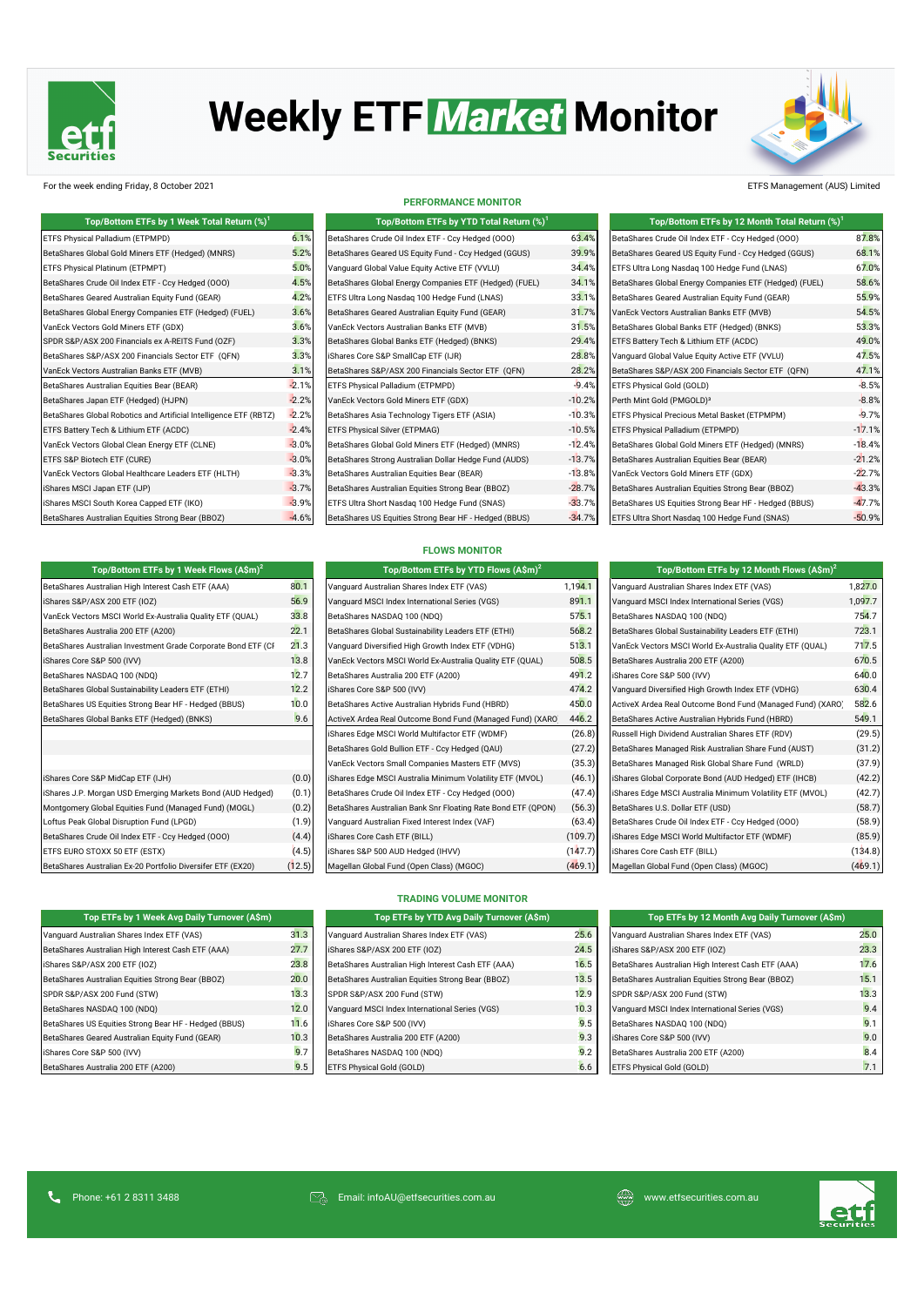

# **Weekly ETF Market Monitor**



## For the week ending Friday, 8 October 2021 ETFS Management (AUS) Limited

| Top/Bottom ETFs by 1 Week Total Return (%) <sup>1</sup>           |         | Top/Bottom ETFs by YTD Total Return (%) <sup>1</sup>   | Top/Bottom ETFs by 12 Month Total Return (%) <sup>1</sup> |                                                        |          |
|-------------------------------------------------------------------|---------|--------------------------------------------------------|-----------------------------------------------------------|--------------------------------------------------------|----------|
| ETFS Physical Palladium (ETPMPD)                                  | 6.1%    | BetaShares Crude Oil Index ETF - Ccy Hedged (000)      | 63.4%                                                     | BetaShares Crude Oil Index ETF - Ccy Hedged (000)      | 87.8%    |
| BetaShares Global Gold Miners ETF (Hedged) (MNRS)                 | 5.2%    | BetaShares Geared US Equity Fund - Ccy Hedged (GGUS)   | 39.9%                                                     | BetaShares Geared US Equity Fund - Ccy Hedged (GGUS)   | 68.1%    |
| ETFS Physical Platinum (ETPMPT)                                   | 5.0%    | Vanguard Global Value Equity Active ETF (VVLU)         | 34.4%                                                     | ETFS Ultra Long Nasdaq 100 Hedge Fund (LNAS)           | 67.0%    |
| BetaShares Crude Oil Index ETF - Ccy Hedged (000)                 | 4.5%    | BetaShares Global Energy Companies ETF (Hedged) (FUEL) | 34.1%                                                     | BetaShares Global Energy Companies ETF (Hedged) (FUEL) | 58.6%    |
| BetaShares Geared Australian Equity Fund (GEAR)                   | 4.2%    | ETFS Ultra Long Nasdaq 100 Hedge Fund (LNAS)           | 33.1%                                                     | BetaShares Geared Australian Equity Fund (GEAR)        | 55.9%    |
| BetaShares Global Energy Companies ETF (Hedged) (FUEL)            | 3.6%    | BetaShares Geared Australian Equity Fund (GEAR)        | 31.7%                                                     | VanEck Vectors Australian Banks ETF (MVB)              | 54.5%    |
| VanEck Vectors Gold Miners ETF (GDX)                              | 3.6%    | VanEck Vectors Australian Banks ETF (MVB)              | 31.5%                                                     | BetaShares Global Banks ETF (Hedged) (BNKS)            | 53.3%    |
| SPDR S&P/ASX 200 Financials ex A-REITS Fund (OZF)                 | 3.3%    | BetaShares Global Banks ETF (Hedged) (BNKS)            | 29.4%                                                     | ETFS Battery Tech & Lithium ETF (ACDC)                 | 49.0%    |
| BetaShares S&P/ASX 200 Financials Sector ETF (QFN)                | 3.3%    | iShares Core S&P SmallCap ETF (IJR)                    | 28.8%                                                     | Vanquard Global Value Equity Active ETF (VVLU)         | 47.5%    |
| VanEck Vectors Australian Banks ETF (MVB)                         | 3.1%    | BetaShares S&P/ASX 200 Financials Sector ETF (QFN)     | 28.2%                                                     | BetaShares S&P/ASX 200 Financials Sector ETF (QFN)     | 47.1%    |
| BetaShares Australian Equities Bear (BEAR)                        | $-2.1%$ | ETFS Physical Palladium (ETPMPD)                       | $-9.4%$                                                   | ETFS Physical Gold (GOLD)                              | $-8.5%$  |
| BetaShares Japan ETF (Hedged) (HJPN)                              | $-2.2%$ | VanEck Vectors Gold Miners ETF (GDX)                   | $-10.2%$                                                  | Perth Mint Gold (PMGOLD) <sup>3</sup>                  | $-8.8%$  |
| BetaShares Global Robotics and Artificial Intelligence ETF (RBTZ) | $-2.2%$ | BetaShares Asia Technology Tigers ETF (ASIA)           | $-10.3%$                                                  | ETFS Physical Precious Metal Basket (ETPMPM)           | $-9.7%$  |
| ETFS Battery Tech & Lithium ETF (ACDC)                            | $-2.4%$ | <b>ETFS Physical Silver (ETPMAG)</b>                   | $-10.5%$                                                  | ETFS Physical Palladium (ETPMPD)                       | $-17.1%$ |
| VanEck Vectors Global Clean Energy ETF (CLNE)                     | $-3.0%$ | BetaShares Global Gold Miners ETF (Hedged) (MNRS)      | $-12.4%$                                                  | BetaShares Global Gold Miners ETF (Hedged) (MNRS)      | $-18.4%$ |
| ETFS S&P Biotech ETF (CURE)                                       | $-3.0%$ | BetaShares Strong Australian Dollar Hedge Fund (AUDS)  | $-13.7%$                                                  | BetaShares Australian Equities Bear (BEAR)             | $-21.2%$ |
| VanEck Vectors Global Healthcare Leaders ETF (HLTH)               | $-3.3%$ | BetaShares Australian Equities Bear (BEAR)             | $-13.8%$                                                  | VanEck Vectors Gold Miners ETF (GDX)                   | $-22.7%$ |
| iShares MSCI Japan ETF (IJP)                                      | $-3.7%$ | BetaShares Australian Equities Strong Bear (BBOZ)      | $-28.7%$                                                  | BetaShares Australian Equities Strong Bear (BBOZ)      | $-43.3%$ |
| iShares MSCI South Korea Capped ETF (IKO)                         | $-3.9%$ | ETFS Ultra Short Nasdag 100 Hedge Fund (SNAS)          | $-33.7%$                                                  | BetaShares US Equities Strong Bear HF - Hedged (BBUS)  | $-47.7%$ |
| BetaShares Australian Equities Strong Bear (BBOZ)                 | $-4.6%$ | BetaShares US Equities Strong Bear HF - Hedged (BBUS)  | $-34.7%$                                                  | ETFS Ultra Short Nasdag 100 Hedge Fund (SNAS)          | $-50.9%$ |

BetaShares Australian High Interest Cash ETF (AAA) 8<mark>0.1</mark><br>Shares S&P/ASX 200 ETF (IOZ) 1,194.1 Vanguard Australian Shares Index ETF

**Top/Bottom ETFs by 1 Week Flows (A\$m)<sup>2</sup> Top/Bottom ETFs by YTD Flows (A\$m)<sup>2</sup> Top/Bottom ETFs by 12 Month Flows (A\$m)<sup>2</sup>**

VanEck Vectors MSCI World Ex-Australia Quality ETF (QUAL) 33.8 ares Australia 200 ETF (A200) 22.1 BetaShares Australia 200 ETF (A200) BetaShares Australian Investment Grade Corporate Bond ETF (CF 21.3 iShares Core S&P 500 (IVV) 13.8 BetaShares NASDAQ 100 (NDQ) 12.7 BetaShares Global Sustainability Leaders ETF (ETHI) **12.2** BetaShares US Equities Strong Bear HF - Hedged (BBUS) 40.0 BetaShares Global Banks ETF (Hedged) (BNKS) **446.2 BetaShares Global Banks FTF** (Hedged Fund) (BNKS)

iShares Core S&P MidCap ETF (IJH) iShares Core S&P MidCap ETF (IJH) ishares Global Corporate Bond (AUD Hedged) iShares J.P. Morgan USD Emerging Markets Bond (AUD Hedged) (0.1) Montgomery Global Equities Fund (Managed Fund) (MOGL)  $(0.2)$ Loftus Peak Global Disruption Fund (LPGD) Van die 1.9) Van die 1.9) Van die Australian E BetaShares Crude Oil Index ETF - Ccy Hedged (OOO) (4.4) ETFS EURO STOXX 50 ETF (ESTX) iShares Sabridge (4.5) BetaShares Australian Ex-20 Portfolio Diversifer ETF (EX20) (12.5)

iShares S&P/ASX 200 ETF (IOZ)

## **PERFORMANCE MONITOR**

| Top/Bottom ETFs by 1 Week Total Return $\left(\%\right)^{1}$ |         | Top/Bottom ETFs by YTD Total Return (%) <sup>1</sup>   |          | Top/Bottom ETFs by 12 Month Total Return (%)           |
|--------------------------------------------------------------|---------|--------------------------------------------------------|----------|--------------------------------------------------------|
| al Palladium (ETPMPD)                                        | 6.1%    | BetaShares Crude Oil Index ETF - Ccy Hedged (000)      | 63.4%    | BetaShares Crude Oil Index ETF - Ccy Hedged (000)      |
| Global Gold Miners ETF (Hedged) (MNRS)                       | 5.2%    | BetaShares Geared US Equity Fund - Ccy Hedged (GGUS)   | 39.9%    | BetaShares Geared US Equity Fund - Ccy Hedged (GGUS)   |
| al Platinum (ETPMPT)                                         | 5.0%    | Vanquard Global Value Equity Active ETF (VVLU)         | 34.4%    | ETFS Ultra Long Nasdaq 100 Hedge Fund (LNAS)           |
| Crude Oil Index ETF - Ccy Hedged (OOO)                       | 4.5%    | BetaShares Global Energy Companies ETF (Hedged) (FUEL) | 34.1%    | BetaShares Global Energy Companies ETF (Hedged) (FUEL) |
| Geared Australian Equity Fund (GEAR)                         | 4.2%    | ETFS Ultra Long Nasdag 100 Hedge Fund (LNAS)           | 33.1%    | BetaShares Geared Australian Equity Fund (GEAR)        |
| Global Energy Companies ETF (Hedged) (FUEL)                  | 3.6%    | BetaShares Geared Australian Equity Fund (GEAR)        | 31.7%    | VanEck Vectors Australian Banks ETF (MVB)              |
| tors Gold Miners ETF (GDX)                                   | 3.6%    | VanEck Vectors Australian Banks ETF (MVB)              | 31.5%    | BetaShares Global Banks ETF (Hedged) (BNKS)            |
| ASX 200 Financials ex A-REITS Fund (OZF)                     | 3.3%    | BetaShares Global Banks ETF (Hedged) (BNKS)            | 29.4%    | ETFS Battery Tech & Lithium ETF (ACDC)                 |
| S&P/ASX 200 Financials Sector ETF (QFN)                      | 3.3%    | iShares Core S&P SmallCap ETF (IJR)                    | 28.8%    | Vanguard Global Value Equity Active ETF (VVLU)         |
| tors Australian Banks ETF (MVB)                              | 3.1%    | BetaShares S&P/ASX 200 Financials Sector ETF (QFN)     | 28.2%    | BetaShares S&P/ASX 200 Financials Sector ETF (QFN)     |
| Australian Equities Bear (BEAR)                              | $-2.1%$ | ETFS Physical Palladium (ETPMPD)                       | $-9.4%$  | ETFS Physical Gold (GOLD)                              |
| Japan ETF (Hedged) (HJPN)                                    | $-2.2%$ | VanEck Vectors Gold Miners ETF (GDX)                   | $-10.2%$ | Perth Mint Gold (PMGOLD) <sup>3</sup>                  |
| Global Robotics and Artificial Intelligence ETF (RBTZ)       | $-2.2%$ | BetaShares Asia Technology Tigers ETF (ASIA)           | $-10.3%$ | ETFS Physical Precious Metal Basket (ETPMPM)           |
| y Tech & Lithium ETF (ACDC)                                  | $-2.4%$ | ETFS Physical Silver (ETPMAG)                          | $-10.5%$ | ETFS Physical Palladium (ETPMPD)                       |
| tors Global Clean Energy ETF (CLNE)                          | $-3.0%$ | BetaShares Global Gold Miners ETF (Hedged) (MNRS)      | $-12.4%$ | BetaShares Global Gold Miners ETF (Hedged) (MNRS)      |
| iotech ETF (CURE)                                            | $-3.0%$ | BetaShares Strong Australian Dollar Hedge Fund (AUDS)  | $-13.7%$ | BetaShares Australian Equities Bear (BEAR)             |
| tors Global Healthcare Leaders ETF (HLTH)                    | $-3.3%$ | BetaShares Australian Equities Bear (BEAR)             | $-13.8%$ | VanEck Vectors Gold Miners ETF (GDX)                   |
| CI Japan ETF (IJP)                                           | $-3.7%$ | BetaShares Australian Equities Strong Bear (BBOZ)      | $-28.7%$ | BetaShares Australian Equities Strong Bear (BBOZ)      |
| CI South Korea Capped ETF (IKO)                              | $-3.9%$ | ETFS Ultra Short Nasdag 100 Hedge Fund (SNAS)          | $-33.7%$ | BetaShares US Equities Strong Bear HF - Hedged (BBUS)  |
| Australian Equities Strong Bear (BBOZ)                       | $-4.6%$ | BetaShares US Equities Strong Bear HF - Hedged (BBUS)  | $-34.7%$ | ETFS Ultra Short Nasdag 100 Hedge Fund (SNAS)          |

| Top/Bottom ETFs by 1 Week Total Return (%) <sup>1</sup>           |         | Top/Bottom ETFs by YTD Total Return $(\%)^1$           |          | Top/Bottom ETFs by 12 Month Total Return $(\%)^1$      |          |
|-------------------------------------------------------------------|---------|--------------------------------------------------------|----------|--------------------------------------------------------|----------|
| ETFS Physical Palladium (ETPMPD)                                  | 6.1%    | BetaShares Crude Oil Index ETF - Ccy Hedged (000)      | 63.4%    | BetaShares Crude Oil Index ETF - Ccy Hedged (000)      | 87.8%    |
| BetaShares Global Gold Miners ETF (Hedged) (MNRS)                 | 5.2%    | BetaShares Geared US Equity Fund - Ccy Hedged (GGUS)   | 39.9%    | BetaShares Geared US Equity Fund - Ccy Hedged (GGUS)   | 68.1%    |
| ETFS Physical Platinum (ETPMPT)                                   | 5.0%    | Vanguard Global Value Equity Active ETF (VVLU)         | 34.4%    | ETFS Ultra Long Nasdaq 100 Hedge Fund (LNAS)           | 67.0%    |
| BetaShares Crude Oil Index ETF - Ccy Hedged (000)                 | 4.5%    | BetaShares Global Energy Companies ETF (Hedged) (FUEL) | 34.1%    | BetaShares Global Energy Companies ETF (Hedged) (FUEL) | 58.6%    |
| BetaShares Geared Australian Equity Fund (GEAR)                   | 4.2%    | ETFS Ultra Long Nasdag 100 Hedge Fund (LNAS)           | 33.1%    | BetaShares Geared Australian Equity Fund (GEAR)        | 55.9%    |
| BetaShares Global Energy Companies ETF (Hedged) (FUEL)            | 3.6%    | BetaShares Geared Australian Equity Fund (GEAR)        | 31.7%    | VanEck Vectors Australian Banks ETF (MVB)              | 54.5%    |
| VanEck Vectors Gold Miners ETF (GDX)                              | 3.6%    | VanEck Vectors Australian Banks ETF (MVB)              | 31.5%    | BetaShares Global Banks ETF (Hedged) (BNKS)            | 53.3%    |
| SPDR S&P/ASX 200 Financials ex A-REITS Fund (OZF)                 | 3.3%    | BetaShares Global Banks ETF (Hedged) (BNKS)            | 29.4%    | ETFS Battery Tech & Lithium ETF (ACDC)                 | 49.0%    |
| BetaShares S&P/ASX 200 Financials Sector ETF (QFN)                | 3.3%    | iShares Core S&P SmallCap ETF (IJR)                    | 28.8%    | Vanguard Global Value Equity Active ETF (VVLU)         | 47.5%    |
| VanEck Vectors Australian Banks ETF (MVB)                         | 3.1%    | BetaShares S&P/ASX 200 Financials Sector ETF (QFN)     | 28.2%    | BetaShares S&P/ASX 200 Financials Sector ETF (QFN)     | 47.1%    |
| BetaShares Australian Equities Bear (BEAR)                        | $-2.1%$ | ETFS Physical Palladium (ETPMPD)                       | $-9.4%$  | ETFS Physical Gold (GOLD)                              | $-8.5%$  |
| BetaShares Japan ETF (Hedged) (HJPN)                              | $-2.2%$ | VanEck Vectors Gold Miners ETF (GDX)                   | $-10.2%$ | Perth Mint Gold (PMGOLD) <sup>3</sup>                  | $-8.8%$  |
| BetaShares Global Robotics and Artificial Intelligence ETF (RBTZ) | $-2.2%$ | BetaShares Asia Technology Tigers ETF (ASIA)           | $-10.3%$ | ETFS Physical Precious Metal Basket (ETPMPM)           | $-9.7%$  |
| ETFS Battery Tech & Lithium ETF (ACDC)                            | $-2.4%$ | <b>ETFS Physical Silver (ETPMAG)</b>                   | $-10.5%$ | ETFS Physical Palladium (ETPMPD)                       | $-17.1%$ |
| VanEck Vectors Global Clean Energy ETF (CLNE)                     | $-3.0%$ | BetaShares Global Gold Miners ETF (Hedged) (MNRS)      | $-12.4%$ | BetaShares Global Gold Miners ETF (Hedged) (MNRS)      | $-18.4%$ |
| ETFS S&P Biotech ETF (CURE)                                       | $-3.0%$ | BetaShares Strong Australian Dollar Hedge Fund (AUDS)  | $-13.7%$ | BetaShares Australian Equities Bear (BEAR)             | $-21.2%$ |
| VanEck Vectors Global Healthcare Leaders ETF (HLTH)               | $-3.3%$ | BetaShares Australian Equities Bear (BEAR)             | $-13.8%$ | VanEck Vectors Gold Miners ETF (GDX)                   | $-22.7%$ |
| iShares MSCI Japan ETF (IJP)                                      | $-3.7%$ | BetaShares Australian Equities Strong Bear (BBOZ)      | $-28.7%$ | BetaShares Australian Equities Strong Bear (BBOZ)      | $-43.3%$ |
| iShares MSCI South Korea Capped ETF (IKO)                         | $-3.9%$ | ETFS Ultra Short Nasdaq 100 Hedge Fund (SNAS)          | $-33.7%$ | BetaShares US Equities Strong Bear HF - Hedged (BBUS)  | $-47.7%$ |
| BetaShares Australian Equities Strong Bear (BBOZ)                 | $-4.6%$ | BetaShares US Equities Strong Bear HF - Hedged (BBUS)  | $-34.7%$ | ETFS Ultra Short Nasdag 100 Hedge Fund (SNAS)          | $-50.9%$ |

## **FLOWS MONITOR**

| Top/Bottom ETFs by YTD Flows $(A\hat{S}m)^2$                 |         |
|--------------------------------------------------------------|---------|
| Vanguard Australian Shares Index ETF (VAS)                   | 1.194.1 |
| Vanquard MSCI Index International Series (VGS)               | 891.1   |
| BetaShares NASDAQ 100 (NDQ)                                  | 575.1   |
| BetaShares Global Sustainability Leaders ETF (ETHI)          | 568.2   |
| Vanquard Diversified High Growth Index ETF (VDHG)            | 513.1   |
| VanEck Vectors MSCI World Ex-Australia Quality ETF (QUAL)    | 508.5   |
| BetaShares Australia 200 ETF (A200)                          | 491.2   |
| iShares Core S&P 500 (IVV)                                   | 474.2   |
| BetaShares Active Australian Hybrids Fund (HBRD)             | 450.0   |
| ActiveX Ardea Real Outcome Bond Fund (Managed Fund) (XARO)   | 446.2   |
| iShares Edge MSCI World Multifactor ETF (WDMF)               | (26.8)  |
| BetaShares Gold Bullion ETF - Ccy Hedged (QAU)               | (27.2)  |
| VanEck Vectors Small Companies Masters ETF (MVS)             | (35.3)  |
| iShares Edge MSCI Australia Minimum Volatility ETF (MVOL)    | (46.1)  |
| BetaShares Crude Oil Index ETF - Ccy Hedged (000)            | (47.4)  |
| BetaShares Australian Bank Snr Floating Rate Bond ETF (QPON) | (56.3)  |
| Vanquard Australian Fixed Interest Index (VAF)               | (63.4)  |
| iShares Core Cash ETF (BILL)                                 | (109.7) |
| iShares S&P 500 AUD Hedged (IHVV)                            | (147.7) |
| Magellan Global Fund (Open Class) (MGOC)                     | (469.1) |

| Top/Bottom ETFs by YTD Flows (A\$m) <sup>2</sup>             |         | Top/Bottom ETFs by 12 Month Flows $(A\$ m) <sup>2</sup>    |         |
|--------------------------------------------------------------|---------|------------------------------------------------------------|---------|
| Vanguard Australian Shares Index ETF (VAS)                   | 1,194.1 | Vanguard Australian Shares Index ETF (VAS)                 | 1,827.0 |
| Vanguard MSCI Index International Series (VGS)               | 891.1   | Vanguard MSCI Index International Series (VGS)             | 1,097.7 |
| BetaShares NASDAQ 100 (NDQ)                                  | 575.1   | BetaShares NASDAQ 100 (NDQ)                                | 754.7   |
| BetaShares Global Sustainability Leaders ETF (ETHI)          | 568.2   | BetaShares Global Sustainability Leaders ETF (ETHI)        | 723.1   |
| Vanquard Diversified High Growth Index ETF (VDHG)            | 513.1   | VanEck Vectors MSCI World Ex-Australia Quality ETF (QUAL)  | 717.5   |
| VanEck Vectors MSCI World Ex-Australia Quality ETF (QUAL)    | 508.5   | BetaShares Australia 200 ETF (A200)                        | 670.5   |
| BetaShares Australia 200 ETF (A200)                          | 491.2   | iShares Core S&P 500 (IVV)                                 | 640.0   |
| iShares Core S&P 500 (IVV)                                   | 474.2   | Vanguard Diversified High Growth Index ETF (VDHG)          | 630.4   |
| BetaShares Active Australian Hybrids Fund (HBRD)             | 450.0   | ActiveX Ardea Real Outcome Bond Fund (Managed Fund) (XARO) | 582.6   |
| ActiveX Ardea Real Outcome Bond Fund (Managed Fund) (XARO)   | 446.2   | BetaShares Active Australian Hybrids Fund (HBRD)           | 549.1   |
| iShares Edge MSCI World Multifactor ETF (WDMF)               | (26.8)  | Russell High Dividend Australian Shares ETF (RDV)          | (29.5)  |
| BetaShares Gold Bullion ETF - Ccy Hedged (QAU)               | (27.2)  | BetaShares Managed Risk Australian Share Fund (AUST)       | (31.2)  |
| VanEck Vectors Small Companies Masters ETF (MVS)             | (35.3)  | BetaShares Managed Risk Global Share Fund (WRLD)           | (37.9)  |
| iShares Edge MSCI Australia Minimum Volatility ETF (MVOL)    | (46.1)  | iShares Global Corporate Bond (AUD Hedged) ETF (IHCB)      | (42.2)  |
| BetaShares Crude Oil Index ETF - Ccy Hedged (000)            | (47.4)  | iShares Edge MSCI Australia Minimum Volatility ETF (MVOL)  | (42.7)  |
| BetaShares Australian Bank Snr Floating Rate Bond ETF (QPON) | (56.3)  | BetaShares U.S. Dollar ETF (USD)                           | (58.7)  |
| Vanguard Australian Fixed Interest Index (VAF)               | (63.4)  | BetaShares Crude Oil Index ETF - Ccy Hedged (000)          | (58.9)  |
| iShares Core Cash ETF (BILL)                                 | (109.7) | iShares Edge MSCI World Multifactor ETF (WDMF)             | (85.9)  |
| iShares S&P 500 AUD Hedged (IHVV)                            | (147.7) | iShares Core Cash ETF (BILL)                               | (134.8) |
| Mogollon Clobal Fund (Open Close) (MCOC)                     | (1601)  | Mogellan Clobel Fund (Open Close) (MCOC)                   | (1601)  |

| $10p$ cm $3p$ i freek and bany famoles (aquity   |           |
|--------------------------------------------------|-----------|
| Jard Australian Shares Index ETF (VAS)           | 31.3      |
| hares Australian High Interest Cash ETF (AAA)    | 27.7      |
| es S&P/ASX 200 ETF (IOZ)                         | 23.8      |
| hares Australian Equities Strong Bear (BBOZ)     | 20.0      |
| S&P/ASX 200 Fund (STW)                           | 13.3      |
| hares NASDAQ 100 (NDQ)                           | 12.0      |
| hares US Equities Strong Bear HF - Hedged (BBUS) | 11.6      |
| hares Geared Australian Equity Fund (GEAR)       | 10.3      |
| es Core S&P 500 (IVV)                            | <b>97</b> |

## **TRADING VOLUME MONITOR**

| Top ETFs by 1 Week Avg Daily Turnover (A\$m)          |      | Top ETFs by YTD Avg Daily Turnover (A\$m)          |      |
|-------------------------------------------------------|------|----------------------------------------------------|------|
| Vanquard Australian Shares Index ETF (VAS)            | 31.3 | Vanquard Australian Shares Index ETF (VAS)         | 25.6 |
| BetaShares Australian High Interest Cash ETF (AAA)    | 27.7 | iShares S&P/ASX 200 ETF (IOZ)                      | 24.5 |
| iShares S&P/ASX 200 ETF (IOZ)                         | 23.8 | BetaShares Australian High Interest Cash ETF (AAA) | 16.5 |
| BetaShares Australian Equities Strong Bear (BBOZ)     | 20.0 | BetaShares Australian Equities Strong Bear (BBOZ)  | 13.5 |
| SPDR S&P/ASX 200 Fund (STW)                           | 13.3 | SPDR S&P/ASX 200 Fund (STW)                        | 12.9 |
| BetaShares NASDAQ 100 (NDQ)                           | 12.0 | Vanquard MSCI Index International Series (VGS)     | 10.3 |
| BetaShares US Equities Strong Bear HF - Hedged (BBUS) | 11.6 | iShares Core S&P 500 (IVV)                         | 9.5  |
| BetaShares Geared Australian Equity Fund (GEAR)       | 10.3 | BetaShares Australia 200 ETF (A200)                | 9.3  |
| iShares Core S&P 500 (IVV)                            | 9.7  | BetaShares NASDAO 100 (NDO)                        | 9.2  |
| BetaShares Australia 200 ETF (A200)                   | 9.5  | ETFS Physical Gold (GOLD)                          | 6.6  |

| Top ETFs by 1 Week Avg Daily Turnover (A\$m)          |      | Top ETFs by YTD Avg Daily Turnover (A\$m)          |      | Top ETFs by 12 Month Avg Daily Turnover (A\$m)     |      |  |
|-------------------------------------------------------|------|----------------------------------------------------|------|----------------------------------------------------|------|--|
| Vanguard Australian Shares Index ETF (VAS)            | 31.3 | Vanquard Australian Shares Index ETF (VAS)         | 25.6 | Vanquard Australian Shares Index ETF (VAS)         | 25.0 |  |
| BetaShares Australian High Interest Cash ETF (AAA)    | 27.7 | iShares S&P/ASX 200 ETF (IOZ)                      | 24.5 | iShares S&P/ASX 200 ETF (IOZ)                      | 23.3 |  |
| iShares S&P/ASX 200 ETF (IOZ)                         | 23.8 | BetaShares Australian High Interest Cash ETF (AAA) | 16.5 | BetaShares Australian High Interest Cash ETF (AAA) | 17.6 |  |
| BetaShares Australian Equities Strong Bear (BBOZ)     | 20.0 | BetaShares Australian Equities Strong Bear (BBOZ)  | 13.5 | BetaShares Australian Equities Strong Bear (BBOZ)  | 15.1 |  |
| SPDR S&P/ASX 200 Fund (STW)                           | 13.3 | SPDR S&P/ASX 200 Fund (STW)                        | 12.9 | SPDR S&P/ASX 200 Fund (STW)                        | 13.3 |  |
| BetaShares NASDAQ 100 (NDQ)                           | 12.0 | Vanquard MSCI Index International Series (VGS)     | 10.3 | Vanquard MSCI Index International Series (VGS)     | 9.4  |  |
| BetaShares US Equities Strong Bear HF - Hedged (BBUS) | 11.6 | iShares Core S&P 500 (IVV)                         | 9.5  | BetaShares NASDAQ 100 (NDQ)                        | 9.1  |  |
| BetaShares Geared Australian Equity Fund (GEAR)       | 10.3 | BetaShares Australia 200 ETF (A200)                | 9.3  | iShares Core S&P 500 (IVV)                         | 9.0  |  |
| iShares Core S&P 500 (IVV)                            | 9.7  | BetaShares NASDAQ 100 (NDQ)                        | 9.2  | BetaShares Australia 200 ETF (A200)                | 8.4  |  |
| BetaShares Australia 200 ETF (A200)                   | 9.5  | ETFS Physical Gold (GOLD)                          | 6.6  | ETFS Physical Gold (GOLD)                          | 7.1  |  |